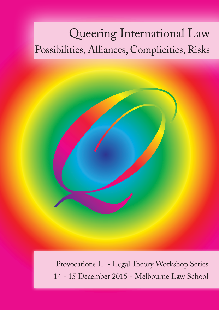# Queering International Law Possibilities, Alliances, Complicities, Risks



Provocations II - Legal Theory Workshop Series 14 - 15 December 2015 - Melbourne Law School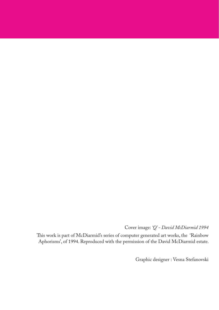Cover image: *'Q' - David McDiarmid 1994*

This work is part of McDiarmid's series of computer generated art works, the 'Rainbow Aphorisms', of 1994. Reproduced with the permission of the David McDiarmid estate.

Graphic designer : Vesna Stefanovski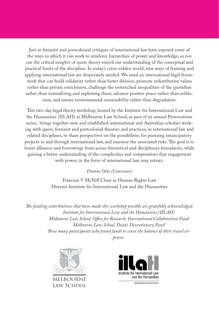Just as feminist and postcolonial critiques of international law have exposed some of the ways in which it can work to reinforce hierarchies of power and knowledge, so too can the critical insights of queer theory enrich our understanding of the conceptual and practical limits of the discipline. In today's crisis-ridden world, new ways of framing and applying international law are desperately needed. We need an international legal framework that can build solidarity rather than foster division, promote redistributive values rather than private enrichment, challenge the entrenched inequalities of the quotidian rather than normalizing and exploiting them, advance positive peace rather than militarism, and ensure environmental sustainability rather than degradation.

This two-day legal theory workshop, hosted by the Institute for International Law and the Humanities (IILAH) at Melbourne Law School, as part of its annual Provocations series, brings together new and established international and Australian scholars working with queer, feminist and postcolonial theories and practices, in international law and related disciplines, to share perspectives on the possibilities for pursuing emancipatory projects in and through international law, and examine the associated risks. The goal is to foster alliances and borrowings from across theoretical and disciplinary boundaries, while gaining a better understanding of the complicities and compromises that engagement with power, in the form of international law, may extract.

#### *Dianne Otto (Convenor)*

Francine V McNiff Chair in Human Rights Law Director Institute for International Law and the Humanities

*The funding contributions that have made this workshop possible are gratefully acknowledged: Institute for International Law and the Humanities (IILAH) Melbourne Law School, Office for Research, International Collaboration Fund Melbourne Law School, Dean's Discretionary Fund Those many participants who found funds to cover the balance of their travel expenses.*



MELBOURNE LAW SCHOOL

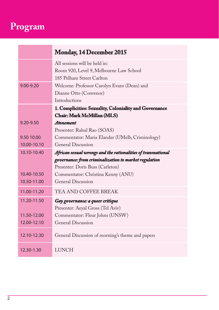# **Program**

٠

|               | <b>Monday, 14 December 2015</b>                              |
|---------------|--------------------------------------------------------------|
|               | All sessions will be held in:                                |
|               | Room 920, Level 9, Melbourne Law School                      |
|               | 185 Pelham Street Carlton                                    |
| $9.00 - 9.20$ | Welcome: Professor Carolyn Evans (Dean) and                  |
|               | Dianne Otto (Convenor)                                       |
|               | Introductions                                                |
|               | 1. Complicities: Sexuality, Coloniality and Governance       |
|               | Chair: Mark McMillan (MLS)                                   |
| $9.20 - 9.50$ | <b>Atonement</b>                                             |
|               | Presenter: Rahul Rao (SOAS)                                  |
| 9.50 10.00    | Commentator: Maria Elander (UMelb, Criminology)              |
| 10.00-10.10   | <b>General Discussion</b>                                    |
| 10.10-10.40   | African sexual wrongs and the rationalities of transnational |
|               | governance: from criminalization to market regulation        |
|               | Presenter: Doris Buss (Carleton)                             |
| 10.40-10.50   | Commentator: Christina Kenny (ANU)                           |
| 10.50-11.00   | General Discussion                                           |
| 11.00-11.20   | TEA AND COFFEE BREAK                                         |
| 11.20-11.50   | Gay governance: a queer critique                             |
|               | Presenter: Aeyal Gross (Tel Aviv)                            |
| 11.50-12.00   | Commentator: Fleur Johns (UNSW)                              |
| 12.00-12.10   | General Discussion                                           |
| 12.10-12.30   | General Discussion of morning's theme and papers             |
| 12.30-1.30    | <b>LUNCH</b>                                                 |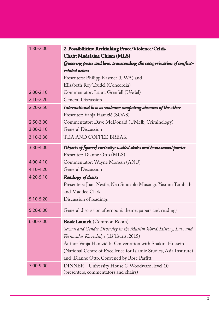| 1.30-2.00     | 2. Possibilities: Rethinking Peace/Violence/Crisis                   |
|---------------|----------------------------------------------------------------------|
|               | <b>Chair: Madelaine Chiam (MLS)</b>                                  |
|               | Queering peace and law: transcending the categorization of conflict- |
|               | related actors                                                       |
|               | Presenters: Philipp Kastner (UWA) and                                |
|               | Elisabeth Roy Trudel (Concordia)                                     |
| $2.00 - 2.10$ | Commentator: Laura Grenfell (UAdel)                                  |
| $2.10 - 2.20$ | <b>General Discussion</b>                                            |
| $2.20 - 2.50$ | International law as violence: competing absences of the other       |
|               | Presenter: Vanja Hamzić (SOAS)                                       |
| $2.50 - 3.00$ | Commentator: Dave McDonald (UMelb, Criminology)                      |
| 3.00-3.10     | General Discussion                                                   |
| 3.10-3.30     | TEA AND COFFEE BREAK                                                 |
| 3.30-4.00     | Objects of [queer] curiosity: walled states and homosexual panics    |
|               | Presenter: Dianne Otto (MLS)                                         |
| 4.00-4.10     | Commentator: Wayne Morgan (ANU)                                      |
| 4.10-4.20     | <b>General Discussion</b>                                            |
| 4.20-5.10     | <b>Readings of desire</b>                                            |
|               | Presenters: Joan Nestle, Neo Sinoxolo Musangi, Yasmin Tambiah        |
|               | and Maddee Clark                                                     |
| 5.10-5.20     | Discussion of readings                                               |
| 5.20-6.00     | General discussion afternoon's theme, papers and readings            |
| $6.00 - 7.00$ | <b>Book Launch</b> (Common Room)                                     |
|               | Sexual and Gender Diversity in the Muslim World: History, Law and    |
|               | Vernacular Knowledge (IB Tauris, 2015)                               |
|               | Author Vanja Hamzić In Conversation with Shakira Hussein             |
|               | (National Centre of Excellence for Islamic Studies, Asia Institute)  |
|               | and Dianne Otto. Convened by Rose Parfitt.                           |
| 7.00-9.00     | DINNER - University House @ Woodward, level 10                       |
|               | (presenters, commentators and chairs)                                |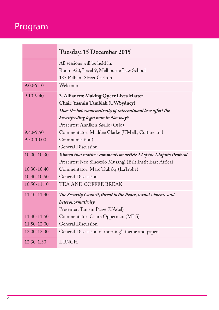# Program

and the control of the control of the

|                | Tuesday, 15 December 2015                                        |
|----------------|------------------------------------------------------------------|
|                | All sessions will be held in:                                    |
|                | Room 920, Level 9, Melbourne Law School                          |
|                | 185 Pelham Street Carlton                                        |
| $9.00 - 9.10$  | Welcome                                                          |
| $9.10 - 9.40$  | 3. Alliances: Making Queer Lives Matter                          |
|                | Chair: Yasmin Tambiah (UWSydney)                                 |
|                | Does the heteronormativity of international law affect the       |
|                | breastfeeding legal man in Norway?                               |
|                | Presenter: Anniken Sørlie (Oslo)                                 |
| $9,40 - 9,50$  | Commentator: Maddee Clarke (UMelb, Culture and                   |
| $9.50 - 10.00$ | Communication)                                                   |
|                | General Discussion                                               |
| 10.00-10.30    | Women that matter: comments on article 14 of the Maputo Protocol |
|                | Presenter: Neo Sinoxolo Musangi (Brit Instit East Africa)        |
| 10.30-10.40    | Commentator: Marc Trabsky (LaTrobe)                              |
| 10.40-10.50    | <b>General Discussion</b>                                        |
| 10.50-11.10    | TEA AND COFFEE BREAK                                             |
| 11.10-11.40    | The Security Council, threat to the Peace, sexual violence and   |
|                | heteronormativity                                                |
|                | Presenter: Tamsin Paige (UAdel)                                  |
| 11.40-11.50    | Commentator: Claire Opperman (MLS)                               |
| 11.50-12.00    | <b>General Discussion</b>                                        |
| 12.00-12.30    | General Discussion of morning's theme and papers                 |
| $12.30 - 1.30$ | <b>LUNCH</b>                                                     |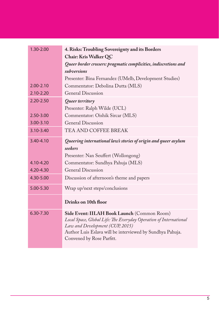| 1.30-2.00     | 4. Risks: Troubling Sovereignty and its Borders                                                                                                                                                                                               |
|---------------|-----------------------------------------------------------------------------------------------------------------------------------------------------------------------------------------------------------------------------------------------|
|               | Chair: Kris Walker QC                                                                                                                                                                                                                         |
|               | Queer border crossers: pragmatic complicities, indiscretions and                                                                                                                                                                              |
|               | subversions                                                                                                                                                                                                                                   |
|               | Presenter: Bina Fernandez (UMelb, Development Studies)                                                                                                                                                                                        |
| $2.00 - 2.10$ | Commentator: Debolina Dutta (MLS)                                                                                                                                                                                                             |
| $2.10 - 2.20$ | General Discussion                                                                                                                                                                                                                            |
| $2.20 - 2.50$ | Queer territory                                                                                                                                                                                                                               |
|               | Presenter: Ralph Wilde (UCL)                                                                                                                                                                                                                  |
| 2.50-3.00     | Commentator: Oishik Sircar (MLS)                                                                                                                                                                                                              |
| $3.00 - 3.10$ | <b>General Discussion</b>                                                                                                                                                                                                                     |
| $3.10 - 3.40$ | TEA AND COFFEE BREAK                                                                                                                                                                                                                          |
| 3.40-4.10     | Queering international law's stories of origin and queer asylum                                                                                                                                                                               |
|               | seekers                                                                                                                                                                                                                                       |
|               | Presenter: Nan Seuffert (Wollongong)                                                                                                                                                                                                          |
| 4.10-4.20     | Commentator: Sundhya Pahuja (MLS)                                                                                                                                                                                                             |
| 4.20-4.30     | <b>General Discussion</b>                                                                                                                                                                                                                     |
| 4.30-5.00     | Discussion of afternoon's theme and papers                                                                                                                                                                                                    |
| 5.00-5.30     | Wrap up/next steps/conclusions                                                                                                                                                                                                                |
|               | Drinks on 10th floor                                                                                                                                                                                                                          |
| 6.30-7.30     | Side Event: IILAH Book Launch (Common Room)<br>Local Space, Global Life: The Everyday Operation of International<br>Law and Development (CUP, 2015)<br>Author Luis Eslava will be interviewed by Sundhya Pahuja.<br>Convened by Rose Parfitt. |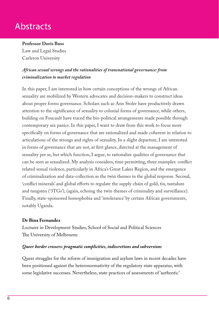# **Abstracts**

# **Professor Doris Buss**

Law and Legal Studies Carleton University

# *African sexual wrongs and the rationalities of transnational governance: from criminalization to market regulation*

In this paper, I am interested in how certain conceptions of the wrongs of African sexuality are mobilized by Western advocates and decision-makers to construct ideas about proper forms governance. Scholars such as Ann Stoler have productively drawn attention to the significance of sexuality to colonial forms of governance, while others, building on Foucault have traced the bio-political arrangements made possible through contemporary sex panics. In this paper, I want to draw from this work to focus more specifically on forms of governance that are rationalized and made coherent in relation to articulations of the wrongs and rights of sexuality. In a slight departure, I am interested in forms of governance that are not, at first glance, directed at the management of sexuality per se, but which function, I argue, to rationalize qualities of governance that can be seen as sexualized. My analysis considers, time permitting, three examples: conflict related sexual violence, particularly in Africa's Great Lakes Region, and the emergence of criminalization and data-collection as the twin themes in the global response. Second, 'conflict minerals' and global efforts to regulate the supply chain of gold, tin, tantalum and tungsten ('3TGs'), (again, echoing the twin themes of criminality and surveillance). Finally, state-sponsored homophobia and 'intolerance' by certain African governments, notably Uganda.

### **Dr Bina Fernandez**

Lecturer in Development Studies, School of Social and Political Sciences The University of Melbourne

#### *Queer border crossers: pragmatic complicities, indiscretions and subversions*

Queer struggles for the reform of immigration and asylum laws in recent decades have been positioned against the heteronormativity of the regulatory state apparatus, with some legislative successes. Nevertheless, state practices of assessments of 'authentic'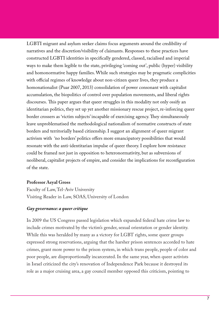LGBTI migrant and asylum seeker claims focus arguments around the credibility of narratives and the discretion/visibility of claimants. Responses to these practices have constructed LGBTI identities in specifically gendered, classed, racialised and imperial ways to make them legible to the state, privileging 'coming out', public (hyper) visibility and homonormative happy families. While such strategies may be pragmatic complicities with official regimes of knowledge about non-citizen queer lives, they produce a homonationalist (Puar 2007, 2013) consolidation of power consonant with capitalist accumulation, the biopolitics of control over population movements, and liberal rights discourses. This paper argues that queer struggles in this modality not only ossify an identitarian politics, they set up yet another missionary rescue project, re-inforcing queer border crossers as 'victim subjects' incapable of exercising agency. They simultaneously leave unproblematised the methodological nationalism of normative constructs of state borders and territorially based citizenship. I suggest an alignment of queer migrant activism with 'no borders' politics offers more emancipatory possibilities that would resonate with the anti-identitarian impulse of queer theory. I explore how resistance could be framed not just in opposition to heteronormativity, but as subversions of neoliberal, capitalist projects of empire, and consider the implications for reconfiguration of the state.

#### **Professor Aeyal Gross**

Faculty of Law, Tel-Aviv University Visiting Reader in Law, SOAS, University of London

#### *Gay governance: a queer critique*

In 2009 the US Congress passed legislation which expanded federal hate crime law to include crimes motivated by the victim's gender, sexual orientation or gender identity. While this was heralded by many as a victory for LGBT rights, some queer groups expressed strong reservations, arguing that the harsher prison sentences accorded to hate crimes, grant more power to the prison system, in which trans people, people of color and poor people, are disproportionally incarcerated. In the same year, when queer activists in Israel criticized the city's renovation of Independence Park because it destroyed its role as a major cruising area, a gay council member opposed this criticism, pointing to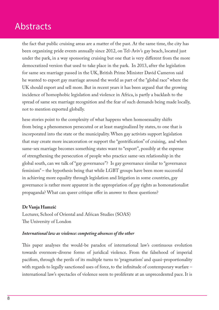# **Abstracts**

the fact that public cruising areas are a matter of the past. At the same time, the city has been organizing pride events annually since 2012, on Tel-Aviv's gay beach, located just under the park, in a way sponsoring cruising but one that is very different from the more democratized version that used to take place in the park. In 2013, after the legislation for same sex marriage passed in the UK, British Prime Minister David Cameron said he wanted to export gay marriage around the world as part of the "global race" where the UK should export and sell more. But in recent years it has been argued that the growing incidence of homophobic legislation and violence in Africa, is partly a backlash to the spread of same sex marriage recognition and the fear of such demands being made locally, not to mention exported globally.

hese stories point to the complexity of what happens when homosexuality shifts from being a phenomenon persecuted or at least marginalized by states, to one that is incorporated into the state or the municipality. When gay activists support legislation that may create more incarceration or support the "gentrification" of cruising, and when same-sex marriage becomes something states want to "export", possibly at the expense of strengthening the persecution of people who practice same-sex relationship in the global south, can we talk of "gay governance"? Is gay governance similar to "governance feminism" – the hypothesis being that while LGBT groups have been more successful in achieving more equality through legislation and litigation in some countries, gay governance is rather more apparent in the appropriation of gay rights as homonationalist propaganda? What can queer critique offer in answer to these questions?

#### **Dr Vanja Hamzić**

Lecturer, School of Oriental and African Studies (SOAS) The University of London

#### *International law as violence: competing absences of the other*

This paper analyses the would-be paradox of international law's continuous evolution towards evermore-diverse forms of juridical violence. From the falsehood of imperial pacifism, through the perils of its multiple turns to 'pragmatism' and quasi-proportionality with regards to legally sanctioned uses of force, to the infinitude of contemporary warfare – international law's spectacles of violence seem to proliferate at an unprecedented pace. It is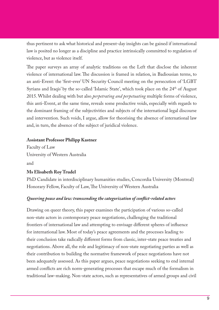thus pertinent to ask what historical and present-day insights can be gained if international law is posited no longer as a discipline and practice intrinsically committed to regulation of violence, but as violence itself.

The paper surveys an array of analytic traditions on the Left that disclose the inherent violence of international law. The discussion is framed in relation, in Badiousian terms, to an anti-Event: the 'first-ever' UN Security Council meeting on the persecution of 'LGBT Syrians and Iraqis' by the so-called 'Islamic State', which took place on the 24<sup>th</sup> of August 2015. Whilst dealing with but also *perpetrating and perpetuating* multiple forms of violence, this anti-Event, at the same time, reveals some productive voids, especially with regards to the dominant framing of the subjectivities and subjects of the international legal discourse and intervention. Such voids, I argue, allow for theorising the absence of international law and, in turn, the absence of the subject of juridical violence.

#### **Assistant Professor Philipp Kastner**

Faculty of Law University of Western Australia and

#### **Ms Elisabeth Roy Trudel**

PhD Candidate in interdisciplinary humanities studies, Concordia University (Montreal) Honorary Fellow, Faculty of Law, The University of Western Australia

#### *Queering peace and law: transcending the categorization of conflict-related actors*

Drawing on queer theory, this paper examines the participation of various so-called non-state actors in contemporary peace negotiations, challenging the traditional frontiers of international law and attempting to envisage different spheres of influence for international law. Most of today's peace agreements and the processes leading to their conclusion take radically different forms from classic, inter-state peace treaties and negotiations. Above all, the role and legitimacy of non-state negotiating parties as well as their contribution to building the normative framework of peace negotiations have not been adequately assessed. As this paper argues, peace negotiations seeking to end internal armed conflicts are rich norm-generating processes that escape much of the formalism in traditional law-making. Non-state actors, such as representatives of armed groups and civil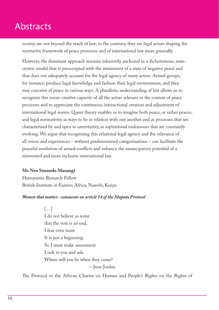# **Abstracts**

society, are not beyond the reach of law; to the contrary, they are legal actors shaping the normative framework of peace processes and of international law more generally.

However, the dominant approach remains inherently anchored in a dichotomous, statecentric model that is preoccupied with the attainment of a state of negative peace and that does not adequately account for the legal agency of many actors. Armed groups, for instance, produce legal knowledge and fashion their legal environment, and they may conceive of peace in various ways. A pluralistic understanding of law allows us to recognize this norm-creative capacity of all the actors relevant in the context of peace processes and to appreciate the continuous, interactional creation and adjustment of international legal norms. Queer theory enables us to imagine both peace, or rather peaces, and legal normativity as ways to be in relation with one another and as processes that are characterized by and open to uncertainty, as aspirational endeavours that are constantly evolving. We argue that recognizing this relational legal agency and the relevance of all voices and experiences – without predetermined categorizations – can facilitate the peaceful resolution of armed conflicts and enhance the emancipatory potential of a reinvented and more inclusive international law.

#### **Mx Neo Sinoxolo Musangi**

Humanities Research Fellow British Institute in Eastern Africa, Nairobi, Kenya

#### *Women that matter: comments on article 14 of the Maputo Protocol*

[…] I do not believe as some that the vote is an end, I fear even more It is just a beginning. So I must make assessment Look to you and ask: Where will you be when they come?

—June Jordan

The Protocol to the African Charter on Human and People's Rights on the Rights of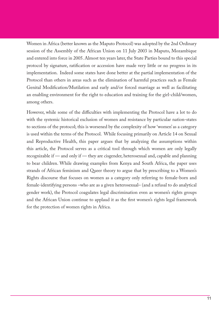Women in Africa (better known as the Maputo Protocol) was adopted by the 2nd Ordinary session of the Assembly of the African Union on 11 July 2003 in Maputo, Mozambique and entered into force in 2005. Almost ten years later, the State Parties bound to this special protocol by signature, ratification or accession have made very little or no progress in its implementation. Indeed some states have done better at the partial implementation of the Protocol than others in areas such as the elimination of harmful practices such as Female Genital Modification/Mutilation and early and/or forced marriage as well as facilitating an enabling environment for the right to education and training for the girl-child/women, among others.

However, while some of the difficulties with implementing the Protocol have a lot to do with the systemic historical exclusion of women and resistance by particular nation-states to sections of the protocol; this is worsened by the complexity of how 'women' as a category is used within the terms of the Protocol. While focusing primarily on Article 14 on Sexual and Reproductive Health, this paper argues that by analyzing the assumptions within this article, the Protocol serves as a critical tool through which women are only legally recognizable if — and only if — they are cisgender, heterosexual and, capable and planning to bear children. While drawing examples from Kenya and South Africa, the paper uses strands of African feminism and Queer theory to argue that by prescribing to a Women's Rights discourse that focuses on women as a category only referring to female-born and female-identifying persons –who are as a given heterosexual– (and a refusal to do analytical gender work), the Protocol coagulates legal discrimination even as women's rights groups and the African Union continue to applaud it as the first women's rights legal framework for the protection of women rights in Africa.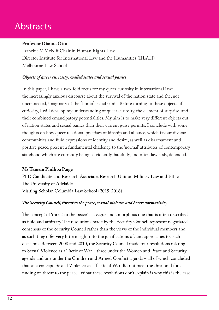# **Abstracts**

#### **Professor Dianne Otto**

Francine V McNiff Chair in Human Rights Law Director Institute for International Law and the Humanities (IILAH) Melbourne Law School

### *Objects of queer curiosity: walled states and sexual panics*

In this paper, I have a two-fold focus for my queer curiosity in international law: the increasingly anxious discourse about the survival of the nation state and the, not unconnected, imaginary of the [homo]sexual panic. Before turning to these objects of curiosity, I will develop my understanding of queer curiosity, the element of surprise, and their combined emancipatory potentialities. My aim is to make very different objects out of nation states and sexual panics than their current guise permits. I conclude with some thoughts on how queer relational practises of kinship and alliance, which favour diverse communities and fluid expressions of identity and desire, as well as disarmament and positive peace, present a fundamental challenge to the 'normal' attributes of contemporary statehood which are currently being so violently, hatefully, and often lawlessly, defended.

### **Ms Tamsin Phillipa Paige**

PhD Candidate and Research Associate, Research Unit on Military Law and Ethics The University of Adelaide Visiting Scholar, Columbia Law School (2015-2016)

### *The Security Council, threat to the peace, sexual violence and heteronormativity*

The concept of 'threat to the peace' is a vague and amorphous one that is often described as fluid and arbitrary. The resolutions made by the Security Council represent negotiated consensus of the Security Council rather than the views of the individual members and as such they offer very little insight into the justifications of, and approaches to, such decisions. Between 2008 and 2010, the Security Council made four resolutions relating to Sexual Violence as a Tactic of War – three under the Women and Peace and Security agenda and one under the Children and Armed Conflict agenda – all of which concluded that as a concept, Sexual Violence as a Tactic of War did not meet the threshold for a finding of 'threat to the peace'. What these resolutions don't explain is why this is the case.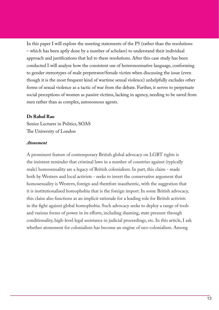In this paper I will explore the meeting statements of the P5 (rather than the resolutions – which has been aptly done by a number of scholars) to understand their individual approach and justifications that led to these resolutions. After this case study has been conducted I will analyse how the consistent use of heteronormative language, conforming to gender stereotypes of male perpetrator/female victim when discussing the issue (even though it is the most frequent kind of wartime sexual violence) unhelpfully excludes other forms of sexual violence as a tactic of war from the debate. Further, it serves to perpetuate social perceptions of women as passive victims, lacking in agency, needing to be saved from men rather than as complex, autonomous agents.

#### **Dr Rahul Rao**

Senior Lecturer in Politics, SOAS The University of London

#### *Atonement*

A prominent feature of contemporary British global advocacy on LGBT rights is the insistent reminder that criminal laws in a number of countries against (typically male) homosexuality are a legacy of British colonialism. In part, this claim - made both by Western and local activists - seeks to invert the conservative argument that homosexuality is Western, foreign and therefore inauthentic, with the suggestion that it is institutionalised homophobia that is the foreign import. In some British advocacy, this claim also functions as an implicit rationale for a leading role for British activists in the fight against global homophobia. Such advocacy seeks to deploy a range of tools and various forms of power in its efforts, including shaming, state pressure through conditionality, high-level legal assistance in judicial proceedings, etc. In this article, I ask whether atonement for colonialism has become an engine of neo-colonialism. Among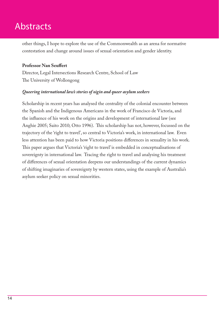# **Abstracts**

other things, I hope to explore the use of the Commonwealth as an arena for normative contestation and change around issues of sexual orientation and gender identity.

### **Professor Nan Seuffert**

Director, Legal Intersections Research Centre, School of Law The University of Wollongong

#### *Queering international law's stories of oigin and queer asylum seekers*

Scholarship in recent years has analysed the centrality of the colonial encounter between the Spanish and the Indigenous Americans in the work of Francisco de Victoria, and the influence of his work on the origins and development of international law (see Anghie 2005; Saito 2010; Otto 1996). This scholarship has not, however, focussed on the trajectory of the 'right to travel', so central to Victoria's work, in international law. Even less attention has been paid to how Victoria positions differences in sexuality in his work. This paper argues that Victoria's 'right to travel' is embedded in conceptualisations of sovereignty in international law. Tracing the right to travel and analysing his treatment of differences of sexual orientation deepens our understandings of the current dynamics of shifting imaginaries of sovereignty by western states, using the example of Australia's asylum seeker policy on sexual minorities.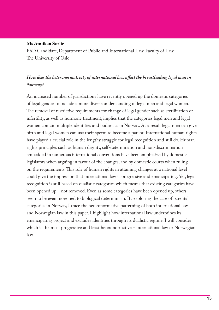#### **Ms Anniken Sørlie**

PhD Candidate, Department of Public and International Law, Faculty of Law The University of Oslo

# *How does the heteronormativity of international law affect the breastfeeding legal man in Norway?*

An increased number of jurisdictions have recently opened up the domestic categories of legal gender to include a more diverse understanding of legal men and legal women. The removal of restrictive requirements for change of legal gender such as sterilization or infertility, as well as hormone treatment, implies that the categories legal men and legal women contain multiple identities and bodies, as in Norway. As a result legal men can give birth and legal women can use their sperm to become a parent. International human rights have played a crucial role in the lengthy struggle for legal recognition and still do. Human rights principles such as human dignity, self-determination and non-discrimination embedded in numerous international conventions have been emphasized by domestic legislators when arguing in favour of the changes, and by domestic courts when ruling on the requirements. This role of human rights in attaining changes at a national level could give the impression that international law is progressive and emancipating. Yet, legal recognition is still based on dualistic categories which means that existing categories have been opened up – not removed. Even as some categories have been opened up, others seem to be even more tied to biological determinism. By exploring the case of parental categories in Norway, I trace the heteronormative patterning of both international law and Norwegian law in this paper. I highlight how international law undermines its emancipating project and excludes identities through its dualistic regime. I will consider which is the most progressive and least heteronormative – international law or Norwegian law.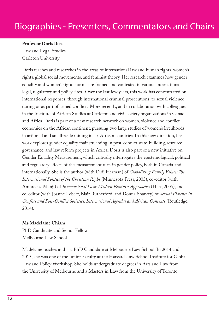#### **Professor Doris Buss**

Law and Legal Studies Carleton University

Doris teaches and researches in the areas of international law and human rights, women's rights, global social movements, and feminist theory. Her research examines how gender equality and women's rights norms are framed and contested in various international legal, regulatory and policy sites. Over the last few years, this work has concentrated on international responses, through international criminal prosecutions, to sexual violence during or as part of armed conflict. More recently, and in collaboration with colleagues in the Institute of African Studies at Carleton and civil society organizations in Canada and Africa, Doris is part of a new research network on women, violence and conflict economies on the African continent, pursuing two large studies of women's livelihoods in artisanal and small-scale mining in six African countries. In this new direction, her work explores gender equality mainstreaming in post-conflict state-building, resource governance, and law reform projects in Africa. Doris is also part of a new initiative on Gender Equality Measurement, which critically interrogates the epistemological, political and regulatory effects of the 'measurement turn' in gender policy, both in Canada and internationally. She is the author (with Didi Herman) of *Globalizing Family Values: The International Politics of the Christian Right* (Minnesota Press, 2003), co-editor (with Ambreena Manji) of *International Law: Modern Feminist Approaches* (Hart, 2005), and co-editor (with Joanne Lebert, Blair Rutherford, and Donna Sharkey) of *Sexual Violence in Conflict and Post-Conflict Societies: International Agendas and African Contexts* (Routledge, 2014).

#### **Ms Madelaine Chiam**

PhD Candidate and Senior Fellow Melbourne Law School

Madelaine teaches and is a PhD Candidate at Melbourne Law School. In 2014 and 2015, she was one of the Junior Faculty at the Harvard Law School Institute for Global Law and Policy Workshop. She holds undergraduate degrees in Arts and Law from the University of Melbourne and a Masters in Law from the University of Toronto.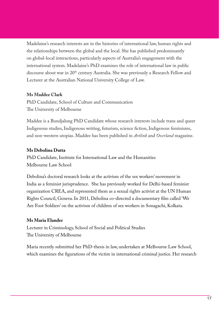Madelaine's research interests are in the histories of international law, human rights and the relationships between the global and the local. She has published predominantly on global-local interactions, particularly aspects of Australia's engagement with the international system. Madelaine's PhD examines the role of international law in public discourse about war in 20th century Australia. She was previously a Research Fellow and Lecturer at the Australian National University College of Law.

#### **Ms Maddee Clark**

PhD Candidate, School of Culture and Communication The University of Melbourne

Maddee is a Bundjalung PhD Candidate whose research interests include trans and queer Indigenous studies, Indigenous writing, futurism, science fiction, Indigenous feminisms, and non-western utopias. Maddee has been published in *Artlink* and *Overland* magazine.

#### **Ms Debolina Dutta**

PhD Candidate, Institute for International Law and the Humanities Melbourne Law School

Debolina's doctoral research looks at the activism of the sex workers' movement in India as a feminist jurisprudence. She has previously worked for Delhi-based feminist organization CREA, and represented them as a sexual rights activist at the UN Human Rights Council, Geneva. In 2011, Debolina co-directed a documentary film called 'We Are Foot Soldiers' on the activism of children of sex workers in Sonagachi, Kolkata.

#### **Ms Maria Elander**

Lecturer in Criminology, School of Social and Political Studies The University of Melbourne

Maria recently submitted her PhD-thesis in law, undertaken at Melbourne Law School, which examines the figurations of the victim in international criminal justice. Her research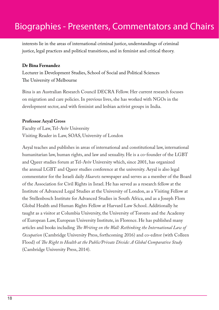interests lie in the areas of international criminal justice, understandings of criminal justice, legal practices and political transitions, and in feminist and critical theory.

#### **Dr Bina Fernandez**

Lecturer in Development Studies, School of Social and Political Sciences The University of Melbourne

Bina is an Australian Research Council DECRA Fellow. Her current research focuses on migration and care policies. In previous lives, she has worked with NGOs in the development sector, and with feminist and lesbian activist groups in India.

#### **Professor Aeyal Gross**

Faculty of Law, Tel-Aviv University Visiting Reader in Law, SOAS, University of London

Aeyal teaches and publishes in areas of international and constitutional law, international humanitarian law, human rights, and law and sexuality. He is a co-founder of the LGBT and Queer studies forum at Tel-Aviv University which, since 2001, has organized the annual LGBT and Queer studies conference at the university. Aeyal is also legal commentator for the Israeli daily *Haaretz* newspaper and serves as a member of the Board of the Association for Civil Rights in Israel. He has served as a research fellow at the Institute of Advanced Legal Studies at the University of London, as a Visiting Fellow at the Stellenbosch Institute for Advanced Studies in South Africa, and as a Joseph Flom Global Health and Human Rights Fellow at Harvard Law School. Additionally he taught as a visitor at Columbia University, the University of Toronto and the Academy of European Law, European University Institute, in Florence. He has published many articles and books including *The Writing on the Wall: Rethinking the International Law of Occupation* (Cambridge University Press, forthcoming 2016) and co-editor (with Colleen Flood) of *The Right to Health at the Public/Private Divide: A Global Comparative Study* (Cambridge University Press, 2014).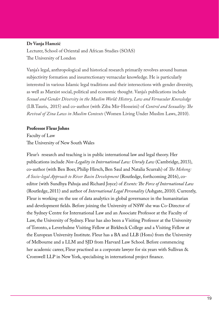#### **Dr Vanja Hamzić**

Lecturer, School of Oriental and African Studies (SOAS) The University of London

Vanja's legal, anthropological and historical research primarily revolves around human subjectivity formation and insurrectionary vernacular knowledge. He is particularly interested in various Islamic legal traditions and their intersections with gender diversity, as well as Marxist social, political and economic thought. Vanja's publications include *Sexual and Gender Diversity in the Muslim World: History, Law and Vernacular Knowledge* (I.B.Tauris, 2015) and co-author (with Ziba Mir-Hosseini) of *Control and Sexuality: The Revival of Zina Laws in Muslim Contexts* (Women Living Under Muslim Laws, 2010).

#### **Professor Fleur Johns**

Faculty of Law The University of New South Wales

Fleur's research and teaching is in public international law and legal theory. Her publications include *Non-Legality in International Law: Unruly Law* (Cambridge, 2013), co-author (with Ben Boer, Philip Hirsch, Ben Saul and Natalia Scurrah) of *The Mekong: A Socio-legal Approach to River Basin Development* (Routledge, forthcoming 2016), coeditor (with Sundhya Pahuja and Richard Joyce) of *Events: The Force of International Law* (Routledge, 2011) and author of *International Legal Personality* (Ashgate, 2010). Currently, Fleur is working on the use of data analytics in global governance in the humanitarian and development fields. Before joining the University of NSW she was Co-Director of the Sydney Centre for International Law and an Associate Professor at the Faculty of Law, the University of Sydney. Fleur has also been a Visiting Professor at the University of Toronto, a Leverhulme Visiting Fellow at Birkbeck College and a Visiting Fellow at the European University Institute. Fleur has a BA and LLB (Hons) from the University of Melbourne and a LLM and SJD from Harvard Law School. Before commencing her academic career, Fleur practised as a corporate lawyer for six years with Sullivan & Cromwell LLP in New York, specialising in international project finance.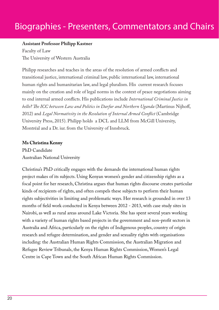#### **Assistant Professor Philipp Kastner**

Faculty of Law The University of Western Australia

Philipp researches and teaches in the areas of the resolution of armed conflicts and transitional justice, international criminal law, public international law, international human rights and humanitarian law, and legal pluralism. His current research focuses mainly on the creation and role of legal norms in the context of peace negotiations aiming to end internal armed conflicts. His publications include *International Criminal Justice in bello? The ICC between Law and Politics in Darfur and Northern Uganda* (Martinus Nijhoff, 2012) and *Legal Normativity in the Resolution of Internal Armed Conflict* (Cambridge University Press, 2015). Philipp holds a DCL and LLM from McGill University, Montréal and a Dr. iur. from the University of Innsbruck.

#### **Ms Christina Kenny**

PhD Candidate Australian National University

Christina's PhD critically engages with the demands the international human rights project makes of its subjects. Using Kenyan women's gender and citizenship rights as a focal point for her research, Christina argues that human rights discourse creates particular kinds of recipients of rights, and often compels these subjects to perform their human rights subjectivities in limiting and problematic ways. Her research is grounded in over 13 months of field work conducted in Kenya between 2012 - 2013, with case study sites in Nairobi, as well as rural areas around Lake Victoria. She has spent several years working with a variety of human rights based projects in the government and non-profit sectors in Australia and Africa, particularly on the rights of Indigenous peoples, country of origin research and refugee determination, and gender and sexuality rights with organisations including: the Australian Human Rights Commission, the Australian Migration and Refugee Review Tribunals, the Kenya Human Rights Commission, Women's Legal Centre in Cape Town and the South African Human Rights Commission.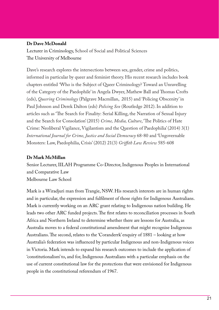#### **Dr Dave McDonald**

Lecturer in Criminology, School of Social and Political Sciences The University of Melbourne

Dave's research explores the intersections between sex, gender, crime and politics, informed in particular by queer and feminist theory. His recent research includes book chapters entitled 'Who is the Subject of Queer Criminology? Toward an Unravelling of the Category of the Paedophile' in Angela Dwyer, Mathew Ball and Thomas Crofts (eds), *Queering Criminology* (Palgrave Macmillan, 2015) and 'Policing Obscenity' in Paul Johnson and Derek Dalton (eds) *Policing Sex* (Routledge 2012). In addition to articles such as 'The Search for Finality: Serial Killing, the Narration of Sexual Injury and the Search for Consolation' (2015) *Crime, Media, Culture*, 'The Politics of Hate Crime: Neoliberal Vigilance, Vigilantism and the Question of Paedophilia' (2014) 3(1) *International Journal for Crime, Justice and Social Democracy* 68-80 and 'Ungovernable Monsters: Law, Paedophilia, Crisis' (2012) 21(3) *Griffith Law Review* 585-608

#### **Dr Mark McMillan**

Senior Lecturer, IILAH Programme Co-Director, Indigenous Peoples in International and Comparative Law Melbourne Law School

Mark is a Wiradjuri man from Trangie, NSW. His research interests are in human rights and in particular, the expression and fulfilment of those rights for Indigenous Australians. Mark is currently working on an ARC grant relating to Indigenous nation building. He leads two other ARC funded projects. The first relates to reconciliation processes in South Africa and Northern Ireland to determine whether there are lessons for Australia, as Australia moves to a federal constitutional amendment that might recognise Indigenous Australians. The second, relates to the 'Coranderrk' enquiry of 1881 – looking at how Australia's federation was influenced by particular Indigenous and non-Indigenous voices in Victoria. Mark intends to expand his research outcomes to include the application of 'constitutionalism' to, and for, Indigenous Australians with a particular emphasis on the use of current constitutional law for the protections that were envisioned for Indigenous people in the constitutional referendum of 1967.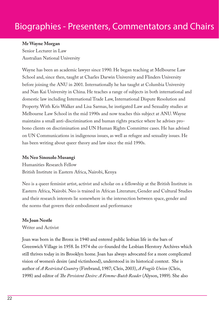#### **Mr Wayne Morgan**

Senior Lecturer in Law Australian National University

Wayne has been an academic lawyer since 1990. He began teaching at Melbourne Law School and, since then, taught at Charles Darwin University and Flinders University before joining the ANU in 2001. Internationally he has taught at Columbia University and Nan Kai University in China. He teaches a range of subjects in both international and domestic law including International Trade Law, International Dispute Resolution and Property. With Kris Walker and Lisa Sarmas, he instigated Law and Sexuality studies at Melbourne Law School in the mid 1990s and now teaches this subject at ANU. Wayne maintains a small anti-discrimination and human rights practice where he advises probono clients on discrimination and UN Human Rights Committee cases. He has advised on UN Communications in indigenous issues, as well as refugee and sexuality issues. He has been writing about queer theory and law since the mid 1990s.

#### **Mx Neo Sinoxolo Musangi**

Humanities Research Fellow British Institute in Eastern Africa, Nairobi, Kenya

Neo is a queer feminist artist, activist and scholar on a fellowship at the British Institute in Eastern Africa, Nairobi. Neo is trained in African Literature, Gender and Cultural Studies and their research interests lie somewhere in the intersection between space, gender and the norms that govern their embodiment and performance

#### **Ms Joan Nestle**

Writer and Activist

Joan was born in the Bronx in 1940 and entered public lesbian life in the bars of Greenwich Village in 1958. In 1974 she co-founded the Lesbian Herstory Archives which still thrives today in its Brooklyn home. Joan has always advocated for a more complicated vision of women's desire (and victimhood), understood in its historical context. She is author of *A Restricted Country* (Firebrand, 1987; Cleis, 2003), *A Fragile Union* (Cleis, 1998) and editor of *The Persistent Desire: A Femme-Butch Reader* (Alyson, 1989). She also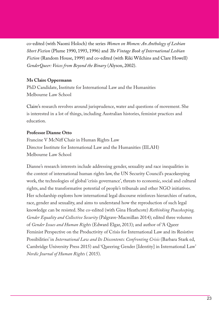co-edited (with Naomi Holoch) the series *Women on Women: An Anthology of Lesbian Short Fiction* (Plume 1990, 1993, 1996) and *The Vintage Book of International Lesbian Fiction* (Random House, 1999) and co-edited (with Riki Wilchins and Clare Howell) *GenderQueer: Voices from Beyond the Binary* (Alyson, 2002).

### **Ms Claire Oppermann**

PhD Candidate, Institute for International Law and the Humanities Melbourne Law School

Claire's research revolves around jurisprudence, water and questions of movement. She is interested in a lot of things, including Australian histories, feminist practices and education.

#### **Professor Dianne Otto**

Francine V McNiff Chair in Human Rights Law Director Institute for International Law and the Humanities (IILAH) Melbourne Law School

Dianne's research interests include addressing gender, sexuality and race inequalities in the context of international human rights law, the UN Security Council's peacekeeping work, the technologies of global 'crisis governance', threats to economic, social and cultural rights, and the transformative potential of people's tribunals and other NGO initiatives. Her scholarship explores how international legal discourse reinforces hierarchies of nation, race, gender and sexuality, and aims to understand how the reproduction of such legal knowledge can be resisted. She co-edited (with Gina Heathcote) *Rethinking Peacekeeping, Gender Equality and Collective Security* (Palgrave-Macmillan 2014); edited three volumes of *Gender Issues and Human Rights* (Edward Elgar, 2013); and author of 'A Queer Feminist Perspective on the Productivity of Crisis for International Law and its Resistive Possibilities' in *International Law and Its Discontents: Confronting Crisis* (Barbara Stark ed, Cambridge University Press 2015) and 'Queering Gender [Identity] in International Law' *Nordic Journal of Human Rights* ( 2015).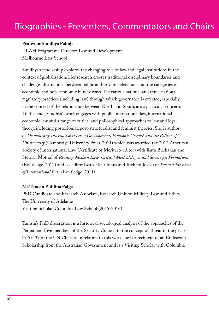#### **Professor Sundhya Pahuja**

IILAH Programme Director, Law and Development Melbourne Law School

Sundhya's scholarship explores the changing role of law and legal institutions in the context of globalisation. Her research crosses traditional disciplinary boundaries and challenges distinctions between public and private behaviours and the categories of economic and non-economic in new ways. The various national and trans-national regulatory practices (including law) through which governance is effected, especially in the context of the relationship between North and South, are a particular concern. To this end, Sundhya's work engages with public international law, international economic law and a range of critical and philosophical approaches to law and legal theory, including postcolonial, post-structuralist and feminist theories. She is author of *Decolonising International Law: Development, Economic Growth and the Politics of Universality* (Cambridge University Press, 2011) which was awarded the 2012 American Society of International Law Certificate of Merit, co-editor (with Ruth Buchanan and Stewart Motha) of *Reading Modern Law: Critical Methodologies and Sovereign Formations* (Routledge, 2012) and co-editor (with Fleur Johns and Richard Joyce) of *Events: The Force of International Law* (Routledge, 2011).

#### **Ms Tamsin Phillipa Paige**

PhD Candidate and Research Associate, Research Unit on Military Law and Ethics The University of Adelaide Visiting Scholar, Columbia Law School (2015-2016)

Tamsin's PhD dissertation is a historical, sociological analysis of the approaches of the Permanent Five members of the Security Council to the concept of 'threat to the peace' in Art 39 of the UN Charter. In relation to this work she is a recipient of an Endeavour Scholarship from the Australian Government and is a Visiting Scholar with Columbia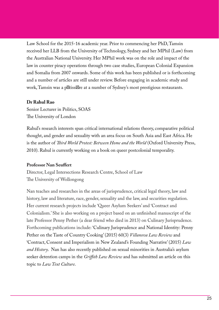Law School for the 2015-16 academic year. Prior to commencing her PhD, Tamsin received her LLB from the University of Technology, Sydney and her MPhil (Law) from the Australian National University. Her MPhil work was on the role and impact of the law in counter piracy operations through two case studies, European Colonial Expansion and Somalia from 2007 onwards. Some of this work has been published or is forthcoming and a number of articles are still under review. Before engaging in academic study and work, Tamsin was a p tissi re at a number of Sydney's most prestigious restaurants.

#### **Dr Rahul Rao**

Senior Lecturer in Politics, SOAS The University of London

Rahul's research interests span critical international relations theory, comparative political thought, and gender and sexuality with an area focus on South Asia and East Africa. He is the author of *Third World Protest: Between Home and the World* (Oxford University Press, 2010). Rahul is currently working on a book on queer postcolonial temporality.

### **Professor Nan Seuffert**

Director, Legal Intersections Research Centre, School of Law The University of Wollongong

Nan teaches and researches in the areas of jurisprudence, critical legal theory, law and history, law and literature, race, gender, sexuality and the law, and securities regulation. Her current research projects include 'Queer Asylum Seekers' and 'Contract and Colonialism.' She is also working on a project based on an unfinished manuscript of the late Professor Penny Pether (a dear friend who died in 2013) on Culinary Jurisprudence. Forthcoming publications include: 'Culinary Jurisprudence and National Identity: Penny Pether on the Taste of Country Cooking' (2015) 60(3) *Villanova Law Review* and 'Contract, Consent and Imperialism in New Zealand's Founding Narrative' (2015) *Law and History*. Nan has also recently published on sexual minorities in Australia's asylum seeker detention camps in the *Griffith Law Review* and has submitted an article on this topic to *Law Text Culture*.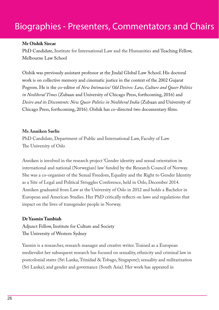#### **Mr Oishik Sircar**

PhD Candidate, Institute for International Law and the Humanities and Teaching Fellow, Melbourne Law School

Oishik was previously assistant professor at the Jindal Global Law School. His doctoral work is on collective memory and cinematic justice in the context of the 2002 Gujarat Pogrom. He is the co-editor of *New Intimacies/ Old Desires: Law, Culture and Queer Politics in Neoliberal Times* (Zubaan and University of Chicago Press, forthcoming, 2016) and *Desire and its Discontents: New Queer Politics in Neoliberal India* (Zubaan and University of Chicago Press, forthcoming, 2016). Oishik has co-directed two documentary films.

#### **Ms Anniken Sørlie**

PhD Candidate, Department of Public and International Law, Faculty of Law The University of Oslo

Anniken is involved in the research project 'Gender identity and sexual orientation in international and national (Norwegian) law' funded by the Research Council of Norway. She was a co-organiser of the Sexual Freedom, Equality and the Right to Gender Identity as a Site of Legal and Political Struggles Conference, held in Oslo, December 2014. Anniken graduated from Law at the University of Oslo in 2012 and holds a Bachelor in European and American Studies. Her PhD critically reflects on laws and regulations that impact on the lives of transgender people in Norway.

#### **Dr Yasmin Tambiah**

Adjunct Fellow, Institute for Culture and Society The University of Western Sydney

Yasmin is a researcher, research manager and creative writer. Trained as a European medievalist her subsequent research has focused on sexuality, ethnicity and criminal law in postcolonial states (Sri Lanka, Trinidad & Tobago, Singapore); sexuality and militarization (Sri Lanka); and gender and governance (South Asia). Her work has appeared in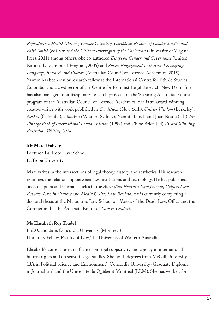*Reproductive Health Matters, Gender & Society, Caribbean Review of Gender Studies and Faith Smith* (ed) S*ex and the Citizen: Interrogating the Caribbean* (University of Virgina Press, 2011) among others. She co-authored *Essays on Gender and Governance* (United Nations Development Program, 2005) and *Smart Engagement with Asia: Leveraging Language, Research and Culture* (Australian Council of Learned Academies, 2015). Yasmin has been senior research fellow at the International Centre for Ethnic Studies, Colombo, and a co-director of the Centre for Feminist Legal Research, New Delhi. She has also managed interdisciplinary research projects for the 'Securing Australia's Future' program of the Australian Council of Learned Academies. She is an award-winning creative writer with work published in *Conditions* (New York), *Sinister Wisdom* (Berkeley), *Nethra* (Colombo), *ZineWest* (Western Sydney), Naomi Holoch and Joan Nestle (eds) *The Vintage Book of International Lesbian Fiction* (1999) and Chloe Brien (ed) *Award Winning Australian Writing 2014*.

### **Mr Marc Trabsky**

Lecturer, La Trobe Law School LaTrobe University

Marc writes in the intersections of legal theory, history and aesthetics. His research examines the relationship between law, institutions and technology. He has published book chapters and journal articles in the *Australian Feminist Law Journal*, *Griffith Law Review*, *Law in Context* and *Media & Arts Law Review*. He is currently completing a doctoral thesis at the Melbourne Law School on 'Voices of the Dead: Law, Office and the Coroner' and is the Associate Editor of *Law in Context*.

## **Ms Elisabeth Roy Trudel**

PhD Candidate, Concordia University (Montreal) Honorary Fellow, Faculty of Law, The University of Western Australia

Elisabeth's current research focuses on legal subjectivity and agency in international human rights and on sensori-legal studies. She holds degrees from McGill University (BA in Political Science and Environment), Concordia University (Graduate Diploma in Journalism) and the Université du Québec à Montréal (LLM). She has worked for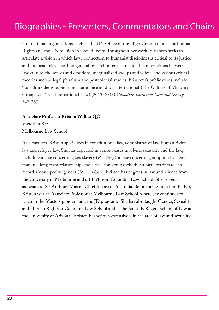international organizations, such as the UN Office of the High Commissioner for Human Rights and the UN mission in Côte d'Ivoire. Throughout her work, Elisabeth seeks to articulate a vision in which law's connection to humanist disciplines is critical to its justice and its social relevance. Her general research interests include the interactions between law, culture, the senses and emotions, marginalized groups and voices, and various critical theories such as legal pluralism and postcolonial studies. Elisabeth's publications include 'La culture des groupes minoritaires face au droit international' (The Culture of Minority Groups vis-à-vis International Law) (2013) 28(3) *Canadian Journal of Law and Society* 347-367.

#### **Associate Professor Kristen Walker QC**

Victorian Bar Melbourne Law School

As a barrister, Kristen specializes in constitutional law, administrative law, human rights law and refugee law. She has appeared in various cases involving sexuality and the law, including a case concerning sex slavery (*R v Tang*), a case concerning adoption by a gay man in a long term relationship, and a case concerning whether a birth certificate can record a 'non-specific' gender (*Norrie's Case*). Kristen has degrees in law and science from the University of Melbourne and a LLM from Columbia Law School. She served as associate to Sir Anthony Mason, Chief Justice of Australia. Before being called to the Bar, Kristen was an Associate Professor at Melbourne Law School, where she continues to teach in the Masters program and the JD program. She has also taught Gender, Sexuality and Human Rights at Columbia Law School and at the James E Rogers School of Law at the University of Arizona. Kristen has written extensively in the area of law and sexuality.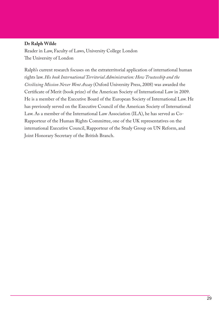#### **Dr Ralph Wilde**

Reader in Law, Faculty of Laws, University College London The University of London

Ralph's current research focuses on the extraterritorial application of international human rights law. *His book International Territorial Administration: How Trusteeship and the Civilizing Mission Never Went Away* (Oxford University Press, 2008) was awarded the Certificate of Merit (book prize) of the American Society of International Law in 2009. He is a member of the Executive Board of the European Society of International Law. He has previously served on the Executive Council of the American Society of International Law. As a member of the International Law Association (ILA), he has served as Co-Rapporteur of the Human Rights Committee, one of the UK representatives on the international Executive Council, Rapporteur of the Study Group on UN Reform, and Joint Honorary Secretary of the British Branch.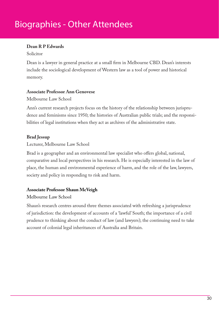# Biographies - Other Attendees

## **Dean R P Edwards**

#### Solicitor

Dean is a lawyer in general practice at a small firm in Melbourne CBD. Dean's interests include the sociological development of Western law as a tool of power and historical memory.

### **Associate Professor Ann Genovese**

Melbourne Law School

Ann's current research projects focus on the history of the relationship between jurisprudence and feminisms since 1950; the histories of Australian public trials; and the responsibilities of legal institutions when they act as archives of the administrative state.

# **Brad Jessup**

### Lecturer, Melbourne Law School

Brad is a geographer and an environmental law specialist who offers global, national, comparative and local perspectives in his research. He is especially interested in the law of place, the human and environmental experience of harm, and the role of the law, lawyers, society and policy in responding to risk and harm.

## **Associate Professor Shaun McVeigh**

## Melbourne Law School

Shaun's research centres around three themes associated with refreshing a jurisprudence of jurisdiction: the development of accounts of a 'lawful' South; the importance of a civil prudence to thinking about the conduct of law (and lawyers); the continuing need to take account of colonial legal inheritances of Australia and Britain.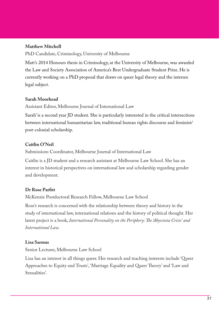#### **Matthew Mitchell**

PhD Candidate, Criminology, University of Melbourne

Matt's 2014 Honours thesis in Criminology, at the University of Melbourne, was awarded the Law and Society Association of America's Best Undergraduate Student Prize. He is currently working on a PhD proposal that draws on queer legal theory and the intersex legal subject.

#### **Sarah Moorhead**

Assistant Editor, Melbourne Journal of International Law

Sarah' is a second year JD student. She is particularly interested in the critical intersections between international humanitarian law, traditional human rights discourse and feminist/ post-colonial scholarship.

### **Caitlin O'Neil**

Submissions Coordinator, Melbourne Journal of International Law

Caitlin is a JD student and a research assistant at Melbourne Law School. She has an interest in historical perspectives on international law and scholarship regarding gender and development.

#### **Dr Rose Parfitt**

McKenzie Postdoctoral Research Fellow, Melbourne Law School

Rose's research is concerned with the relationship between theory and history in the study of international law, international relations and the history of political thought. Her latest project is a book, *International Personality on the Periphery: The 'Abyssinia Crisis' and International Law.*

### **Lisa Sarmas**

Senior Lecturer, Melbourne Law School

Lisa has an interest in all things queer. Her research and teaching interests include 'Queer Approaches to Equity and Trusts', 'Marriage Equality and Queer Theory' and 'Law and Sexualities'.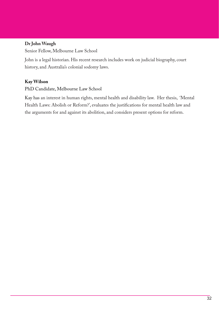### **Dr John Waugh**

Senior Fellow, Melbourne Law School

John is a legal historian. His recent research includes work on judicial biography, court history, and Australia's colonial sodomy laws.

### **Kay Wilson**

PhD Candidate, Melbourne Law School

Kay has an interest in human rights, mental health and disability law. Her thesis, 'Mental Health Laws: Abolish or Reform?', evaluates the justifications for mental health law and the arguments for and against its abolition, and considers present options for reform.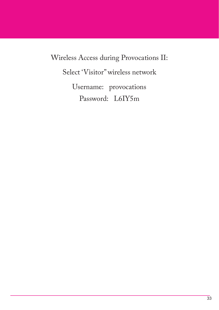Wireless Access during Provocations II: Select 'Visitor" wireless network Username: provocations Password: L6IY5m